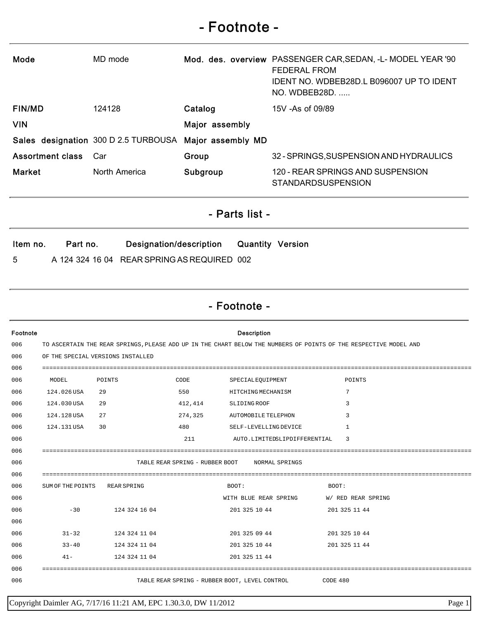## - Footnote -

| Mode                                                                                                                           |                                                                                                                   | MD mode                              |                                                         | Mod. des. overview PASSENGER CAR, SEDAN, -L- MODEL YEAR '90<br><b>FEDERAL FROM</b><br>IDENT NO. WDBEB28D.L B096007 UP TO IDENT<br>NO. WDBEB28D. |  |  |  |  |  |
|--------------------------------------------------------------------------------------------------------------------------------|-------------------------------------------------------------------------------------------------------------------|--------------------------------------|---------------------------------------------------------|-------------------------------------------------------------------------------------------------------------------------------------------------|--|--|--|--|--|
| <b>FIN/MD</b>                                                                                                                  |                                                                                                                   | 124128                               | Catalog                                                 | 15V - As of 09/89                                                                                                                               |  |  |  |  |  |
| <b>VIN</b>                                                                                                                     |                                                                                                                   |                                      | Major assembly                                          |                                                                                                                                                 |  |  |  |  |  |
|                                                                                                                                |                                                                                                                   | Sales designation 300 D 2.5 TURBOUSA | Major assembly MD                                       |                                                                                                                                                 |  |  |  |  |  |
| <b>Assortment class</b>                                                                                                        |                                                                                                                   | Car                                  | Group                                                   | 32 - SPRINGS, SUSPENSION AND HYDRAULICS                                                                                                         |  |  |  |  |  |
| <b>Market</b>                                                                                                                  |                                                                                                                   |                                      |                                                         | 120 - REAR SPRINGS AND SUSPENSION<br><b>STANDARDSUSPENSION</b>                                                                                  |  |  |  |  |  |
|                                                                                                                                |                                                                                                                   | North America                        | Subgroup                                                |                                                                                                                                                 |  |  |  |  |  |
| - Parts list -                                                                                                                 |                                                                                                                   |                                      |                                                         |                                                                                                                                                 |  |  |  |  |  |
| Part no.<br>Designation/description<br><b>Quantity Version</b><br>Item no.<br>A 124 324 16 04 REAR SPRING AS REQUIRED 002<br>5 |                                                                                                                   |                                      |                                                         |                                                                                                                                                 |  |  |  |  |  |
| - Footnote -                                                                                                                   |                                                                                                                   |                                      |                                                         |                                                                                                                                                 |  |  |  |  |  |
| Footnote                                                                                                                       |                                                                                                                   |                                      | <b>Description</b>                                      |                                                                                                                                                 |  |  |  |  |  |
| 006                                                                                                                            | TO ASCERTAIN THE REAR SPRINGS, PLEASE ADD UP IN THE CHART BELOW THE NUMBERS OF POINTS OF THE RESPECTIVE MODEL AND |                                      |                                                         |                                                                                                                                                 |  |  |  |  |  |
| 006<br>006                                                                                                                     |                                                                                                                   | OF THE SPECIAL VERSIONS INSTALLED    |                                                         |                                                                                                                                                 |  |  |  |  |  |
| 006                                                                                                                            | MODEL                                                                                                             | POINTS                               | CODE<br>SPECIAL EQUIPMENT                               | POINTS                                                                                                                                          |  |  |  |  |  |
| 006                                                                                                                            | 124.026 USA                                                                                                       | 29                                   | 550<br>HITCHING MECHANISM                               | 7                                                                                                                                               |  |  |  |  |  |
| 006                                                                                                                            | 124.030 USA                                                                                                       | 29                                   | 412,414<br>SLIDING ROOF                                 |                                                                                                                                                 |  |  |  |  |  |
| 006                                                                                                                            | 124.128 USA 27                                                                                                    |                                      | 274, 325 AUTOMOBILE TELEPHON                            | 3                                                                                                                                               |  |  |  |  |  |
| 006                                                                                                                            | 124.131 USA 30                                                                                                    |                                      | 480 SELF-LEVELLING DEVICE                               | $\overline{1}$                                                                                                                                  |  |  |  |  |  |
| 006                                                                                                                            |                                                                                                                   |                                      | 211                                                     | AUTO.LIMITEDSLIPDIFFERENTIAL<br>$\overline{\phantom{a}}$                                                                                        |  |  |  |  |  |
| 006                                                                                                                            |                                                                                                                   |                                      |                                                         |                                                                                                                                                 |  |  |  |  |  |
| 006                                                                                                                            | TABLE REAR SPRING - RUBBER BOOT NORMAL SPRINGS                                                                    |                                      |                                                         |                                                                                                                                                 |  |  |  |  |  |
| 006                                                                                                                            |                                                                                                                   |                                      |                                                         |                                                                                                                                                 |  |  |  |  |  |
| 006                                                                                                                            |                                                                                                                   | SUM OF THE POINTS REAR SPRING        | BOOT:                                                   | BOOT:                                                                                                                                           |  |  |  |  |  |
| 006                                                                                                                            |                                                                                                                   |                                      |                                                         | WITH BLUE REAR SPRING W/ RED REAR SPRING                                                                                                        |  |  |  |  |  |
| 006<br>006                                                                                                                     |                                                                                                                   | $-30$ 124 324 16 04                  |                                                         | 201 325 10 44 201 325 11 44                                                                                                                     |  |  |  |  |  |
| 006                                                                                                                            |                                                                                                                   | 31-32 124 324 11 04                  | 201 325 09 44                                           | 201 325 10 44                                                                                                                                   |  |  |  |  |  |
| 006                                                                                                                            | $33 - 40$                                                                                                         | 124 324 11 04                        | 201 325 10 44                                           | 201 325 11 44                                                                                                                                   |  |  |  |  |  |
| 006                                                                                                                            |                                                                                                                   | 41- 124 324 11 04                    | 201 325 11 44                                           |                                                                                                                                                 |  |  |  |  |  |
| 006                                                                                                                            |                                                                                                                   |                                      |                                                         |                                                                                                                                                 |  |  |  |  |  |
| 006                                                                                                                            |                                                                                                                   |                                      | TABLE REAR SPRING - RUBBER BOOT, LEVEL CONTROL CODE 480 |                                                                                                                                                 |  |  |  |  |  |